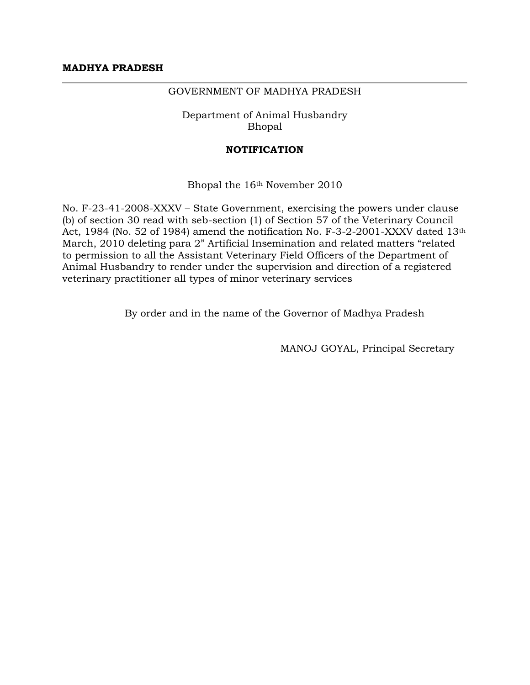## GOVERNMENT OF MADHYA PRADESH

Department of Animal Husbandry Bhopal

## **NOTIFICATION**

Bhopal the 16th November 2010

No. F-23-41-2008-XXXV – State Government, exercising the powers under clause (b) of section 30 read with seb-section (1) of Section 57 of the Veterinary Council Act, 1984 (No. 52 of 1984) amend the notification No. F-3-2-2001-XXXV dated 13th March, 2010 deleting para 2" Artificial Insemination and related matters "related to permission to all the Assistant Veterinary Field Officers of the Department of Animal Husbandry to render under the supervision and direction of a registered veterinary practitioner all types of minor veterinary services

By order and in the name of the Governor of Madhya Pradesh

MANOJ GOYAL, Principal Secretary